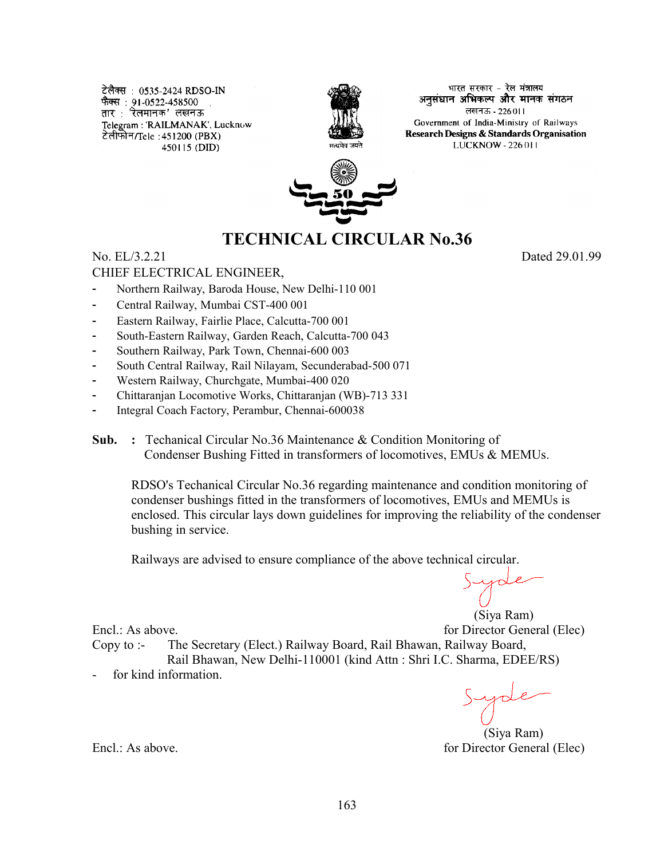टेलैक्स : 0535-2424 RDSO-IN फैक्स : 91-0522-458500 तार : रेलमानक' लखनऊ Telegram: 'RAILMANAK', Lucknow टेलीफोन/Tele : 451200 (PBX) 450115 (DID)



भारत सरकार - रेल मंत्रालय अनसंघान अभिकल्प और मानक संगठन लखनऊ - 226011 Government of India-Ministry of Railways Research Designs & Standards Organisation LUCKNOW - 226 011



# **TECHNICAL CIRCULAR No.36**

# No. EL/3.2.21 Dated 29.01.99

# CHIEF ELECTRICAL ENGINEER,

- Northern Railway, Baroda House, New Delhi-110 001
- Central Railway, Mumbai CST-400 001
- Eastern Railway, Fairlie Place, Calcutta-700 001
- South-Eastern Railway, Garden Reach, Calcutta-700 043
- Southern Railway, Park Town, Chennai-600 003
- South Central Railway, Rail Nilayam, Secunderabad-500 071
- Western Railway, Churchgate, Mumbai-400 020
- Chittaranjan Locomotive Works, Chittaranjan (WB)-713 331
- Integral Coach Factory, Perambur, Chennai-600038
- **Sub. :** Techanical Circular No.36 Maintenance & Condition Monitoring of Condenser Bushing Fitted in transformers of locomotives, EMUs & MEMUs.

RDSO's Techanical Circular No.36 regarding maintenance and condition monitoring of condenser bushings fitted in the transformers of locomotives, EMUs and MEMUs is enclosed. This circular lays down guidelines for improving the reliability of the condenser bushing in service.

Railways are advised to ensure compliance of the above technical circular.

(Siya Ram)

Encl.: As above. **For Director General (Elec)** for Director General (Elec) Copy to :- The Secretary (Elect.) Railway Board, Rail Bhawan, Railway Board, Rail Bhawan, New Delhi-110001 (kind Attn : Shri I.C. Sharma, EDEE/RS)

for kind information.

 (Siya Ram) Encl.: As above. **Figure 1. Encl.: As above. for Director General (Elec)**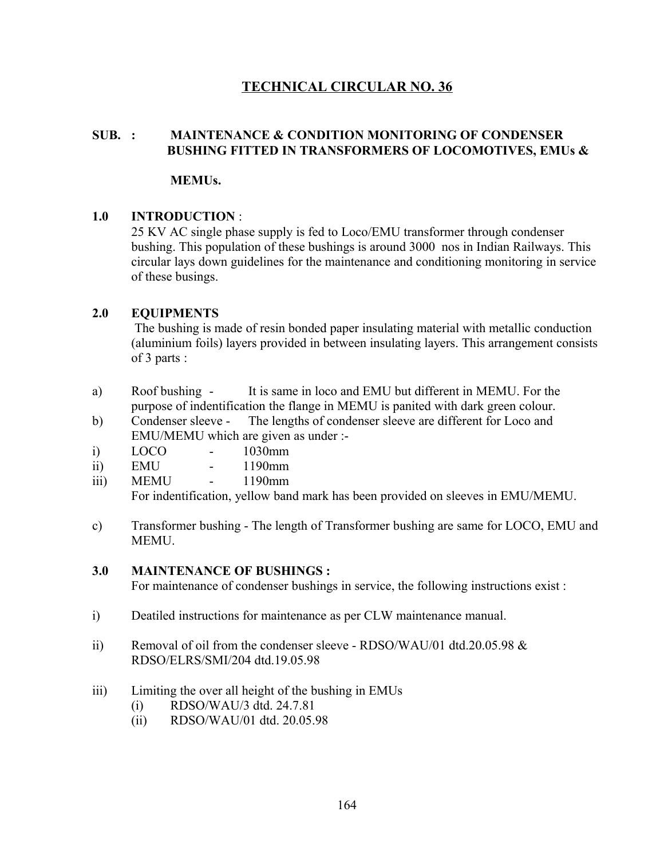# **TECHNICAL CIRCULAR NO. 36**

# **SUB. : MAINTENANCE & CONDITION MONITORING OF CONDENSER BUSHING FITTED IN TRANSFORMERS OF LOCOMOTIVES, EMUs &**

#### **MEMUs.**

# **1.0 INTRODUCTION** :

25 KV AC single phase supply is fed to Loco/EMU transformer through condenser bushing. This population of these bushings is around 3000 nos in Indian Railways. This circular lays down guidelines for the maintenance and conditioning monitoring in service of these busings.

# **2.0 EQUIPMENTS**

 The bushing is made of resin bonded paper insulating material with metallic conduction (aluminium foils) layers provided in between insulating layers. This arrangement consists of 3 parts :

- a) Roof bushing It is same in loco and EMU but different in MEMU. For the purpose of indentification the flange in MEMU is panited with dark green colour.
- b) Condenser sleeve The lengths of condenser sleeve are different for Loco and EMU/MEMU which are given as under :-
- i) LOCO 1030mm
- ii) EMU 1190mm
- iii) MEMU 1190mm

For indentification, yellow band mark has been provided on sleeves in EMU/MEMU.

c) Transformer bushing - The length of Transformer bushing are same for LOCO, EMU and MEMU.

#### **3.0 MAINTENANCE OF BUSHINGS :**

For maintenance of condenser bushings in service, the following instructions exist :

- i) Deatiled instructions for maintenance as per CLW maintenance manual.
- ii) Removal of oil from the condenser sleeve RDSO/WAU/01 dtd.20.05.98  $\&$ RDSO/ELRS/SMI/204 dtd.19.05.98
- iii) Limiting the over all height of the bushing in EMUs
	- (i) RDSO/WAU/3 dtd. 24.7.81
	- (ii) RDSO/WAU/01 dtd. 20.05.98